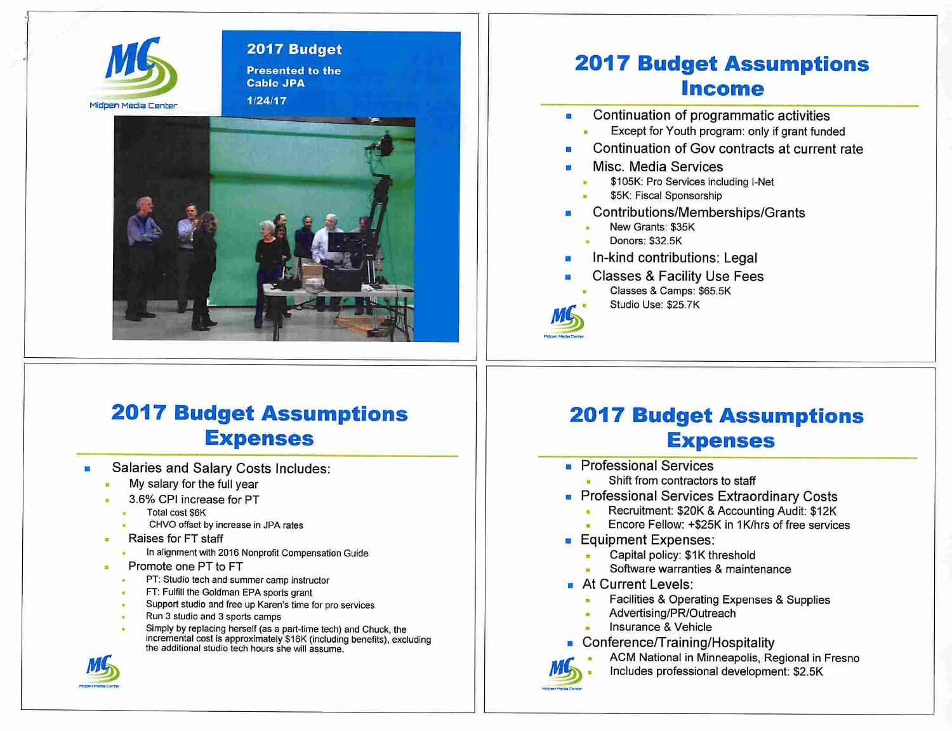

#### 2017 Budget Presented to the

Cable JPA 1/24/17



### 2017 Budget Assumptions income

- Continuation of programmatic activities  $\blacksquare$ 
	- Except for Youth program: only if grant funded
- Continuation of Gov contracts at current rate
- Misc. Media Services
	- \$105K: Pro Services including l-Net
	- \$5K: Fiscal Sponsorship
- Contributions/Memberships/Grants
	- New Grants; \$35K
	- Donors: \$32.5K
- In-kind contributions: Legal
- Classes & Facility Use Fees

Classes & Camps: \$65.5K Studio Use: \$25.7K

# 2017 Budget Assumptions Expenses

- Salaries and Salary Costs Includes:
	- My salary for the full year
	- 3.6% CPI increase for PT
		- Total cost \$6K
		- CHVO offset by increase in JPA rates
	- Raises for FT staff
		- in alignment with 2016 Nonprofit Compensation Guide
	- Promote one PT to FT
		- PT: Studio tech and summer camp instructor
		- FT; Fulfill the Gotdman EPA sports grant
		- Support studio and free up Karen's time for pro services
		- Run 3 studio and 3 sports camps
		- Simply by replacing herself (as a part-time tech) and Chuck, the incremental cost is approximately \$16K (Including benefits), excluding the additional studio tech hours she will assume.



# 2017 Budget Assumptions Expenses

- Professional Services
	- Shift from contractors to staff
- Professional Services Extraordinary Costs
	- Recruitment: \$20K & Accounting Audit: \$12K
	- Encore Fellow: +\$25K in 1K/hrs of free services
- Equipment Expenses:
	- Capital policy: \$1K threshold
	- Software warranties & maintenance
- At Current Levels:
	- Facilities & Operating Expenses & Supplies
	- Advertising/PR/Outreach
	- Insurance & Vehicle
- Conference/Training/Hospitality



ACM National in Minneapolis, Regional in Fresno Includes professional development: \$2.5K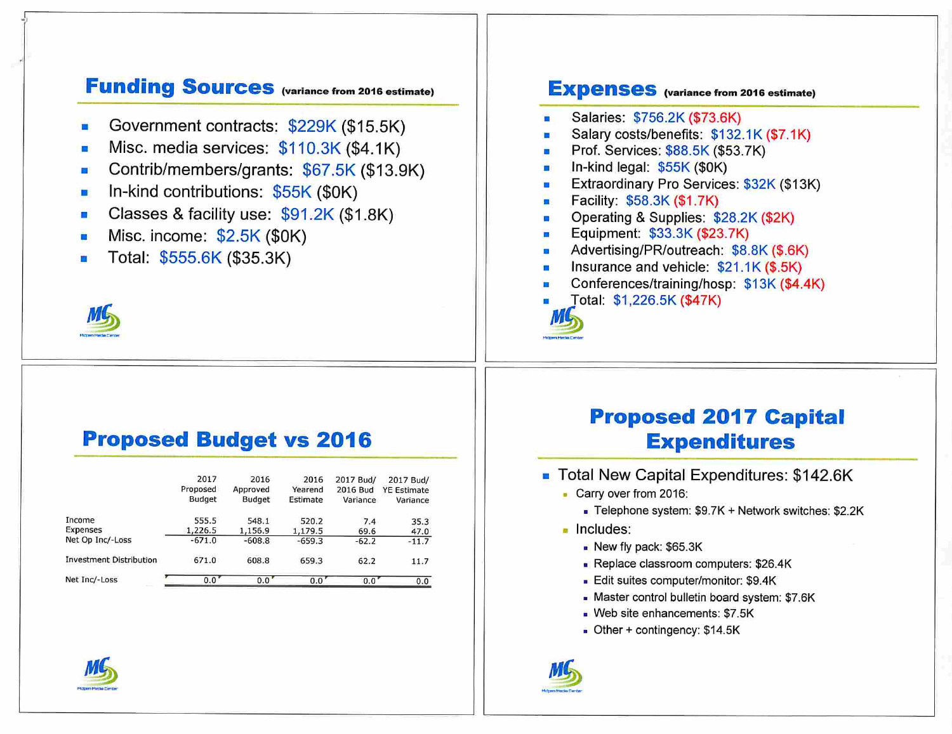### Funding Sources (variance from 2016 estimate)

- Government contracts: \$229K (\$15.5K)
- Misc. media services:  $$110.3K$  (\$4.1K)
- Contrib/members/grants: \$67.5K (\$13.9K) **TO**
- In-kind contributions: \$55K (\$0K)  $\blacksquare$
- Classes & facility use: \$91.2K (\$1.8K) E
- Misc. income: \$2.5K (\$0K)
- Total: \$555.6K (\$35.3K)



#### **EXpenses** (variance from 2016 estimate)

- Salaries: \$756.2K (\$73.6K)
- Salary costs/benefits: \$132.1K (\$7.1K)
- Prof. Services: \$88.5K (\$53.7K)
- In-kind legal: \$55K (\$0K)
- Extraordinary Pro Services: \$32K (\$13K)  $\blacksquare$
- Facility: \$58.3K (\$1.7K)
- Operating & Supplies: \$28.2K (\$2K)
- Equipment: \$33.3K (\$23.7K) n
- Advertising/PR/outreach: \$8.8K (\$.6K)
- Insurance and vehicle: \$21.1K (\$.5K)
- Conferences/training/hosp: \$13K (\$4.4K)
- Total: \$1,226.5K(\$47K)



#### Proposed Budget vs 2016

|                                | 2017<br>Proposed<br><b>Budget</b> | 2016<br>Approved<br><b>Budget</b> | 2016<br>Yearend<br>Estimate | 2017 Bud/<br>2016 Bud<br>Variance | 2017 Bud/<br><b>YE Estimate</b><br>Variance |
|--------------------------------|-----------------------------------|-----------------------------------|-----------------------------|-----------------------------------|---------------------------------------------|
| Income                         | 555.5                             | 548.1                             | 520.2                       | 7.4                               | 35.3                                        |
| Expenses                       | 1,226.5                           | 1,156.9                           | 1,179.5                     | 69.6                              | 47.0                                        |
| Net Op Inc/-Loss               | $-671.0$                          | $-608.8$                          | $-659.3$                    | $-62.2$                           | $-11.7$                                     |
| <b>Investment Distribution</b> | 671.0                             | 608.8                             | 659.3                       | 62.2                              | 11.7                                        |
| Net Inc/-Loss                  | 0.0'                              | 0.0                               | 0.0                         | 0.0                               | 0.0                                         |

### Proposed 2017 Capital Expenditures

- Total New Capital Expenditures: \$142.6K
	- Carry over from 2016:
		- > Telephone system: \$9.7K + Network switches: \$2.2K
	- Includes:
		- New fly pack: \$65.3K
		- Replace classroom computers: \$26.4K
		- Edit suites computer/monitor: \$9.4K
		- « Master control bulletin board system: \$7.6K
		- Web site enhancements: \$7.5K
		- Other + contingency: \$14.5K